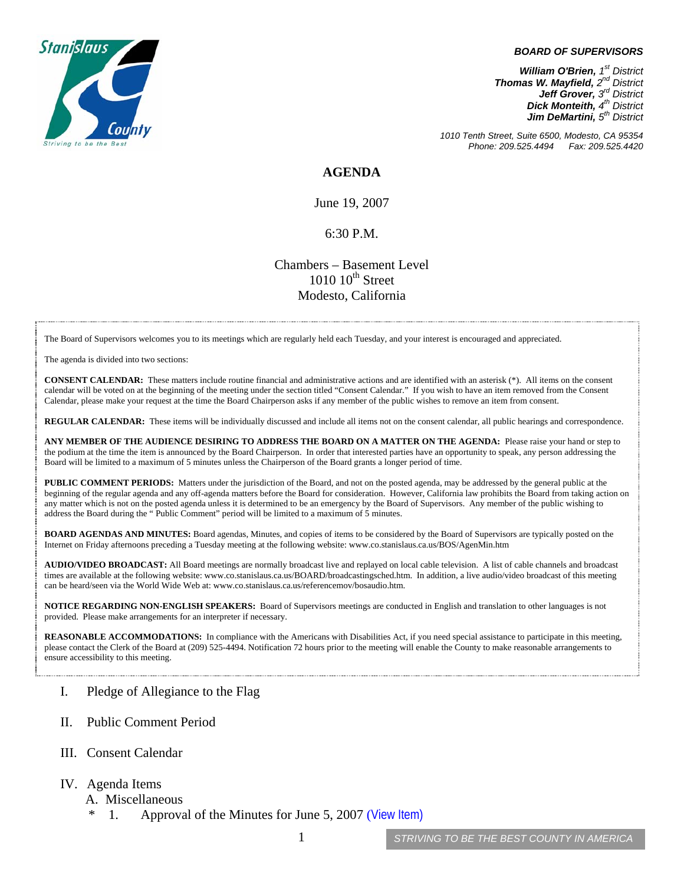

## *BOARD OF SUPERVISORS*

*William O'Brien, 1st District Thomas W. Mayfield, 2nd District Jeff Grover, 3rd District Dick Monteith, 4th District Jim DeMartini, 5th District*

*1010 Tenth Street, Suite 6500, Modesto, CA 95354 Phone: 209.525.4494 Fax: 209.525.4420* 

**AGENDA** 

June 19, 2007

## 6:30 P.M.

## Chambers – Basement Level  $1010$   $10^{th}$  Street Modesto, California

The Board of Supervisors welcomes you to its meetings which are regularly held each Tuesday, and your interest is encouraged and appreciated.

The agenda is divided into two sections:

**CONSENT CALENDAR:** These matters include routine financial and administrative actions and are identified with an asterisk (\*). All items on the consent calendar will be voted on at the beginning of the meeting under the section titled "Consent Calendar." If you wish to have an item removed from the Consent Calendar, please make your request at the time the Board Chairperson asks if any member of the public wishes to remove an item from consent.

**REGULAR CALENDAR:** These items will be individually discussed and include all items not on the consent calendar, all public hearings and correspondence.

**ANY MEMBER OF THE AUDIENCE DESIRING TO ADDRESS THE BOARD ON A MATTER ON THE AGENDA:** Please raise your hand or step to the podium at the time the item is announced by the Board Chairperson. In order that interested parties have an opportunity to speak, any person addressing the Board will be limited to a maximum of 5 minutes unless the Chairperson of the Board grants a longer period of time.

**PUBLIC COMMENT PERIODS:** Matters under the jurisdiction of the Board, and not on the posted agenda, may be addressed by the general public at the beginning of the regular agenda and any off-agenda matters before the Board for consideration. However, California law prohibits the Board from taking action on any matter which is not on the posted agenda unless it is determined to be an emergency by the Board of Supervisors. Any member of the public wishing to address the Board during the " Public Comment" period will be limited to a maximum of 5 minutes.

**BOARD AGENDAS AND MINUTES:** Board agendas, Minutes, and copies of items to be considered by the Board of Supervisors are typically posted on the Internet on Friday afternoons preceding a Tuesday meeting at the following website: [www.co.stanislaus.ca.us/BOS/AgenMin.htm](http://www.co.stanislaus.ca.us/BOS/AgenMin.htm) 

**AUDIO/VIDEO BROADCAST:** All Board meetings are normally broadcast live and replayed on local cable television. A list of cable channels and broadcast times are available at the following website: [www.co.stanislaus.ca.us/BOARD/broadcastingsched.htm](http://www.co.stanislaus.ca.us/BOARD/broadcastingsched.htm). In addition, a live audio/video broadcast of this meeting can be heard/seen via the World Wide Web at: [www.co.stanislaus.ca.us/referencemov/bosaudio.htm.](http://www.co.stanislaus.ca.us/referencemov/bosaudio.htm)

**NOTICE REGARDING NON-ENGLISH SPEAKERS:** Board of Supervisors meetings are conducted in English and translation to other languages is not provided. Please make arrangements for an interpreter if necessary.

**REASONABLE ACCOMMODATIONS:** In compliance with the Americans with Disabilities Act, if you need special assistance to participate in this meeting, please contact the Clerk of the Board at (209) 525-4494. Notification 72 hours prior to the meeting will enable the County to make reasonable arrangements to ensure accessibility to this meeting.

- I. Pledge of Allegiance to the Flag
- II. Public Comment Period
- III. Consent Calendar
- IV. Agenda Items
	- A. Miscellaneous
		- 1. Approval of the Minutes for June 5, 2007 ([View Item\)](http://www.co.stanislaus.ca.us/bos/minutes/2007/min06-05-07.pdf)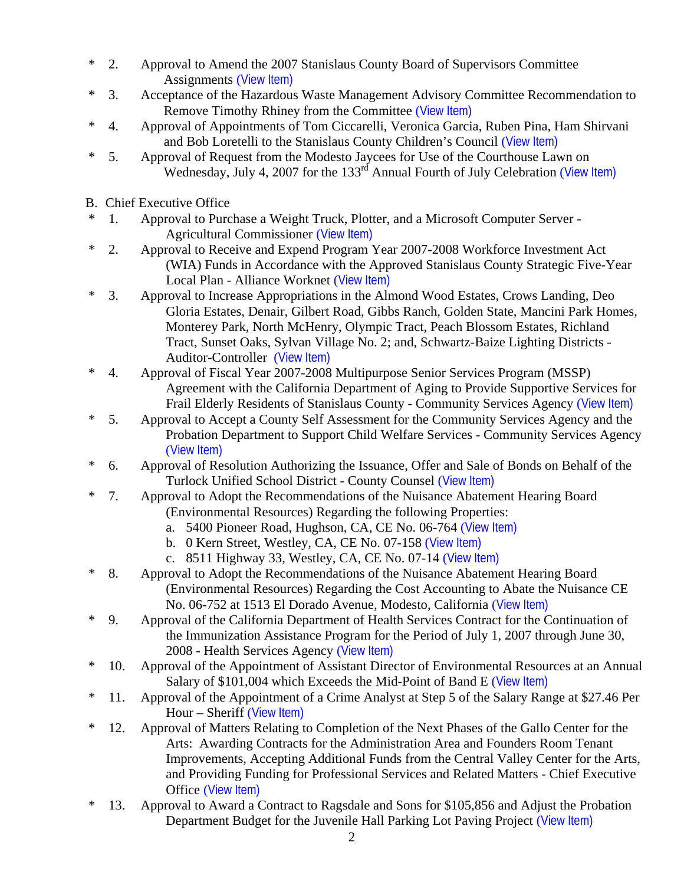- \* 2. Approval to Amend the 2007 Stanislaus County Board of Supervisors Committee Assignments ([View Item\)](http://www.co.stanislaus.ca.us/bos/agenda/2007/20070619/A02.pdf)
- \* 3. Acceptance of the Hazardous Waste Management Advisory Committee Recommendation to Remove Timothy Rhiney from the Committee ([View Item\)](http://www.co.stanislaus.ca.us/bos/agenda/2007/20070619/A03.pdf)
- \* 4. Approval of Appointments of Tom Ciccarelli, Veronica Garcia, Ruben Pina, Ham Shirvani and Bob Loretelli to the Stanislaus County Children's Council ([View Item\)](http://www.co.stanislaus.ca.us/bos/agenda/2007/20070619/A04.pdf)
- \* 5. Approval of Request from the Modesto Jaycees for Use of the Courthouse Lawn on Wednesday, July 4, 2007 for the 133<sup>rd</sup> Annual Fourth of July Celebration ([View Item\)](http://www.co.stanislaus.ca.us/bos/agenda/2007/20070619/A05.pdf)
- B. Chief Executive Office
- \* 1. Approval to Purchase a Weight Truck, Plotter, and a Microsoft Computer Server Agricultural Commissioner ([View Item\)](http://www.co.stanislaus.ca.us/bos/agenda/2007/20070619/B01.pdf)
- \* 2. Approval to Receive and Expend Program Year 2007-2008 Workforce Investment Act (WIA) Funds in Accordance with the Approved Stanislaus County Strategic Five-Year Local Plan - Alliance Worknet ([View Item\)](http://www.co.stanislaus.ca.us/bos/agenda/2007/20070619/B02.pdf)
- \* 3. Approval to Increase Appropriations in the Almond Wood Estates, Crows Landing, Deo Gloria Estates, Denair, Gilbert Road, Gibbs Ranch, Golden State, Mancini Park Homes, Monterey Park, North McHenry, Olympic Tract, Peach Blossom Estates, Richland Tract, Sunset Oaks, Sylvan Village No. 2; and, Schwartz-Baize Lighting Districts - Auditor-Controller ([View Item\)](http://www.co.stanislaus.ca.us/bos/agenda/2007/20070619/B03.pdf)
- \* 4. Approval of Fiscal Year 2007-2008 Multipurpose Senior Services Program (MSSP) Agreement with the California Department of Aging to Provide Supportive Services for Frail Elderly Residents of Stanislaus County - Community Services Agency ([View Item\)](http://www.co.stanislaus.ca.us/bos/agenda/2007/20070619/B04.pdf)
- \* 5. Approval to Accept a County Self Assessment for the Community Services Agency and the Probation Department to Support Child Welfare Services - Community Services Agency ([View Item\)](http://www.co.stanislaus.ca.us/bos/agenda/2007/20070619/B05.pdf)
- \* 6. Approval of Resolution Authorizing the Issuance, Offer and Sale of Bonds on Behalf of the Turlock Unified School District - County Counsel ([View Item\)](http://www.co.stanislaus.ca.us/bos/agenda/2007/20070619/B06.pdf)
- \* 7. Approval to Adopt the Recommendations of the Nuisance Abatement Hearing Board (Environmental Resources) Regarding the following Properties:
	- a. 5400 Pioneer Road, Hughson, CA, CE No. 06-764 ([View Item\)](http://www.co.stanislaus.ca.us/bos/agenda/2007/20070619/B07a.pdf)
	- b. 0 Kern Street, Westley, CA, CE No. 07-158 ([View Item\)](http://www.co.stanislaus.ca.us/bos/agenda/2007/20070619/B07b.pdf)
	- c. 8511 Highway 33, Westley, CA, CE No. 07-14 ([View Item\)](http://www.co.stanislaus.ca.us/bos/agenda/2007/20070619/B07c.pdf)
- \* 8. Approval to Adopt the Recommendations of the Nuisance Abatement Hearing Board (Environmental Resources) Regarding the Cost Accounting to Abate the Nuisance CE No. 06-752 at 1513 El Dorado Avenue, Modesto, California ([View Item\)](http://www.co.stanislaus.ca.us/bos/agenda/2007/20070619/B08.pdf)
- \* 9. Approval of the California Department of Health Services Contract for the Continuation of the Immunization Assistance Program for the Period of July 1, 2007 through June 30, 2008 - Health Services Agency ([View Item\)](http://www.co.stanislaus.ca.us/bos/agenda/2007/20070619/B09.pdf)
- \* 10. Approval of the Appointment of Assistant Director of Environmental Resources at an Annual Salary of \$101,004 which Exceeds the Mid-Point of Band E ([View Item\)](http://www.co.stanislaus.ca.us/bos/agenda/2007/20070619/B10.pdf)
- \* 11. Approval of the Appointment of a Crime Analyst at Step 5 of the Salary Range at \$27.46 Per Hour – Sheriff ([View Item\)](http://www.co.stanislaus.ca.us/bos/agenda/2007/20070619/B11.pdf)
- \* 12. Approval of Matters Relating to Completion of the Next Phases of the Gallo Center for the Arts: Awarding Contracts for the Administration Area and Founders Room Tenant Improvements, Accepting Additional Funds from the Central Valley Center for the Arts, and Providing Funding for Professional Services and Related Matters - Chief Executive Office ([View Item\)](http://www.co.stanislaus.ca.us/bos/agenda/2007/20070619/B12.pdf)
- \* 13. Approval to Award a Contract to Ragsdale and Sons for \$105,856 and Adjust the Probation Department Budget for the Juvenile Hall Parking Lot Paving Project ([View Item\)](http://www.co.stanislaus.ca.us/bos/agenda/2007/20070619/B13.pdf)